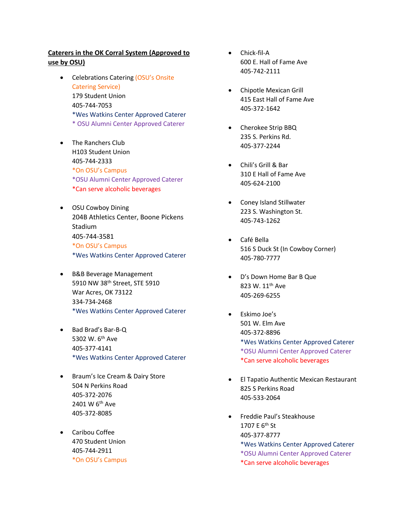## **Caterers in the OK Corral System (Approved to use by OSU)**

- Celebrations Catering (OSU's Onsite Catering Service) 179 Student Union 405-744-7053 \*Wes Watkins Center Approved Caterer \* OSU Alumni Center Approved Caterer
- The Ranchers Club H103 Student Union 405-744-2333 \*On OSU's Campus \*OSU Alumni Center Approved Caterer \*Can serve alcoholic beverages
- OSU Cowboy Dining 204B Athletics Center, Boone Pickens Stadium 405-744-3581 \*On OSU's Campus \*Wes Watkins Center Approved Caterer
- B&B Beverage Management 5910 NW 38th Street, STE 5910 War Acres, OK 73122 334-734-2468 \*Wes Watkins Center Approved Caterer
- Bad Brad's Bar-B-Q 5302 W. 6th Ave 405-377-4141 \*Wes Watkins Center Approved Caterer
- Braum's Ice Cream & Dairy Store 504 N Perkins Road 405-372-2076 2401 W 6<sup>th</sup> Ave 405-372-8085
- Caribou Coffee 470 Student Union 405-744-2911 \*On OSU's Campus
- Chick-fil-A 600 E. Hall of Fame Ave 405-742-2111
- Chipotle Mexican Grill 415 East Hall of Fame Ave 405-372-1642
- Cherokee Strip BBQ 235 S. Perkins Rd. 405-377-2244
- Chili's Grill & Bar 310 E Hall of Fame Ave 405-624-2100
- Coney Island Stillwater 223 S. Washington St. 405-743-1262
- Café Bella 516 S Duck St (In Cowboy Corner) 405-780-7777
- D's Down Home Bar B Que 823 W. 11<sup>th</sup> Ave 405-269-6255
- Eskimo Joe's 501 W. Elm Ave 405-372-8896 \*Wes Watkins Center Approved Caterer \*OSU Alumni Center Approved Caterer \*Can serve alcoholic beverages
- El Tapatio Authentic Mexican Restaurant 825 S Perkins Road 405-533-2064
- Freddie Paul's Steakhouse 1707 E 6<sup>th</sup> St 405-377-8777 \*Wes Watkins Center Approved Caterer \*OSU Alumni Center Approved Caterer \*Can serve alcoholic beverages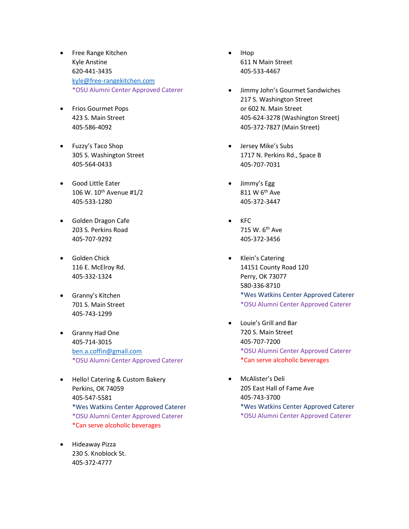- Free Range Kitchen Kyle Anstine 620-441-3435 [kyle@free-rangekitchen.com](mailto:kyle@free-rangekitchen.com) \*OSU Alumni Center Approved Caterer
- Frios Gourmet Pops 423 S. Main Street 405-586-4092
- Fuzzy's Taco Shop 305 S. Washington Street 405-564-0433
- Good Little Eater 106 W. 10th Avenue #1/2 405-533-1280
- Golden Dragon Cafe 203 S. Perkins Road 405-707-9292
- Golden Chick 116 E. McElroy Rd. 405-332-1324
- Granny's Kitchen 701 S. Main Street 405-743-1299
- Granny Had One 405-714-3015 [ben.a.coffin@gmail.com](mailto:ben.a.coffin@gmail.com) \*OSU Alumni Center Approved Caterer
- Hello! Catering & Custom Bakery Perkins, OK 74059 405-547-5581 \*Wes Watkins Center Approved Caterer \*OSU Alumni Center Approved Caterer \*Can serve alcoholic beverages
- Hideaway Pizza 230 S. Knoblock St. 405-372-4777
- IHop 611 N Main Street 405-533-4467
- Jimmy John's Gourmet Sandwiches 217 S. Washington Street or 602 N. Main Street 405-624-3278 (Washington Street) 405-372-7827 (Main Street)
- Jersey Mike's Subs 1717 N. Perkins Rd., Space B 405-707-7031
- Jimmy's Egg 811 W 6th Ave 405-372-3447
- $KFC$ 715 W. 6th Ave 405-372-3456
- Klein's Catering 14151 County Road 120 Perry, OK 73077 580-336-8710 \*Wes Watkins Center Approved Caterer \*OSU Alumni Center Approved Caterer
- Louie's Grill and Bar 720 S. Main Street 405-707-7200 \*OSU Alumni Center Approved Caterer \*Can serve alcoholic beverages
- McAlister's Deli 205 East Hall of Fame Ave 405-743-3700 \*Wes Watkins Center Approved Caterer
	- \*OSU Alumni Center Approved Caterer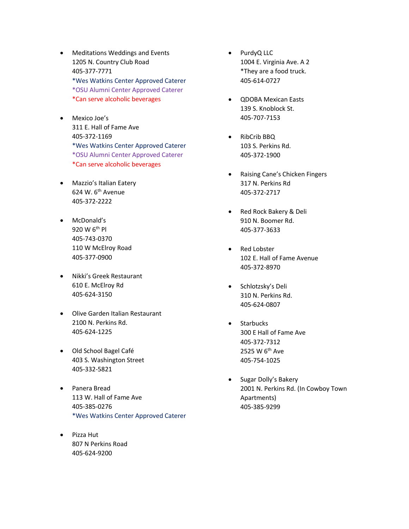- Meditations Weddings and Events 1205 N. Country Club Road 405-377-7771 \*Wes Watkins Center Approved Caterer \*OSU Alumni Center Approved Caterer \*Can serve alcoholic beverages
- Mexico Joe's 311 E. Hall of Fame Ave 405-372-1169 \*Wes Watkins Center Approved Caterer \*OSU Alumni Center Approved Caterer \*Can serve alcoholic beverages
- Mazzio's Italian Eatery 624 W.  $6<sup>th</sup>$  Avenue 405-372-2222
- McDonald's 920 W 6th Pl 405-743-0370 110 W McElroy Road 405-377-0900
- Nikki's Greek Restaurant 610 E. McElroy Rd 405-624-3150
- Olive Garden Italian Restaurant 2100 N. Perkins Rd. 405-624-1225
- Old School Bagel Café 403 S. Washington Street 405-332-5821
- Panera Bread 113 W. Hall of Fame Ave 405-385-0276 \*Wes Watkins Center Approved Caterer
- Pizza Hut 807 N Perkins Road 405-624-9200
- PurdyQ LLC 1004 E. Virginia Ave. A 2 \*They are a food truck. 405-614-0727
- QDOBA Mexican Easts 139 S. Knoblock St. 405-707-7153
- RibCrib BBQ 103 S. Perkins Rd. 405-372-1900
- Raising Cane's Chicken Fingers 317 N. Perkins Rd 405-372-2717
- Red Rock Bakery & Deli 910 N. Boomer Rd. 405-377-3633
- Red Lobster 102 E. Hall of Fame Avenue 405-372-8970
- Schlotzsky's Deli 310 N. Perkins Rd. 405-624-0807
- Starbucks 300 E Hall of Fame Ave 405-372-7312 2525 W 6th Ave 405-754-1025
- Sugar Dolly's Bakery 2001 N. Perkins Rd. (In Cowboy Town Apartments) 405-385-9299